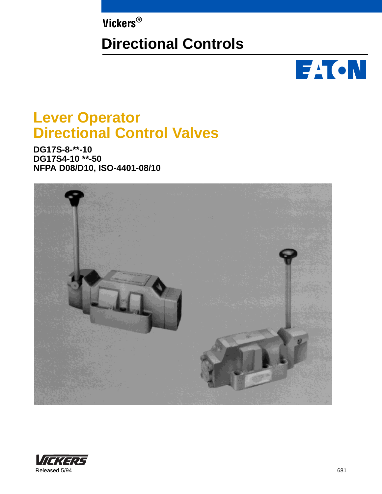**Vickers®**

# **Directional Controls**



# **Lever Operator Directional Control Valves**

**DG17S-8-\*\*-10 DG17S4-10 \*\*-50 NFPA D08/D10, ISO-4401-08/10**



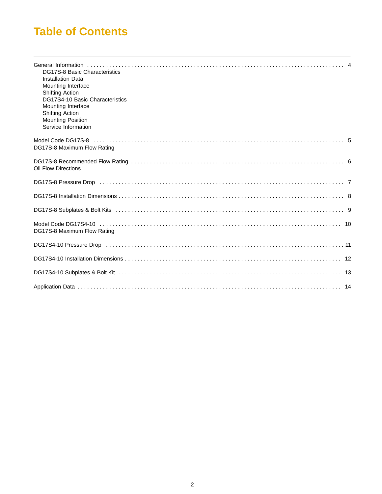# **Table of Contents**

| DG17S-8 Basic Characteristics<br><b>Installation Data</b><br>Mounting Interface<br><b>Shifting Action</b><br>DG17S4-10 Basic Characteristics<br>Mounting Interface<br><b>Shifting Action</b><br><b>Mounting Position</b><br>Service Information |  |
|-------------------------------------------------------------------------------------------------------------------------------------------------------------------------------------------------------------------------------------------------|--|
| DG17S-8 Maximum Flow Rating                                                                                                                                                                                                                     |  |
| Oil Flow Directions                                                                                                                                                                                                                             |  |
| DG17S-8 Pressure Drop (and according contract and according contract of the contract of the Drop of T                                                                                                                                           |  |
|                                                                                                                                                                                                                                                 |  |
|                                                                                                                                                                                                                                                 |  |
| DG17S-8 Maximum Flow Rating                                                                                                                                                                                                                     |  |
| DG17S4-10 Pressure Drop (and according to the contract of the contract of the contract of the contract of the                                                                                                                                   |  |
|                                                                                                                                                                                                                                                 |  |
|                                                                                                                                                                                                                                                 |  |
|                                                                                                                                                                                                                                                 |  |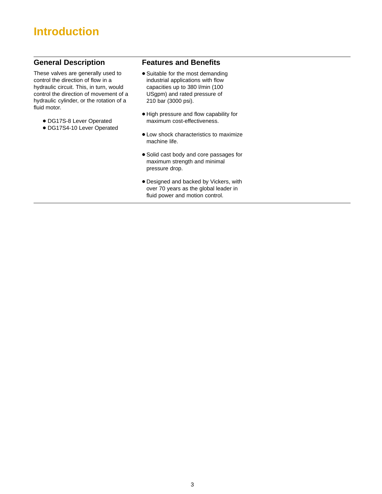# **Introduction**

### **General Description**

These valves are generally used to control the direction of flow in a hydraulic circuit. This, in turn, would control the direction of movement of a hydraulic cylinder, or the rotation of a fluid motor.

- DG17S-8 Lever Operated
- DG17S4-10 Lever Operated

### **Features and Benefits**

- Suitable for the most demanding industrial applications with flow capacities up to 380 l/min (100 USgpm) and rated pressure of 210 bar (3000 psi).
- $\bullet$  High pressure and flow capability for maximum cost-effectiveness.
- Low shock characteristics to maximize machine life.
- Solid cast body and core passages for maximum strength and minimal pressure drop.
- Designed and backed by Vickers, with over 70 years as the global leader in fluid power and motion control.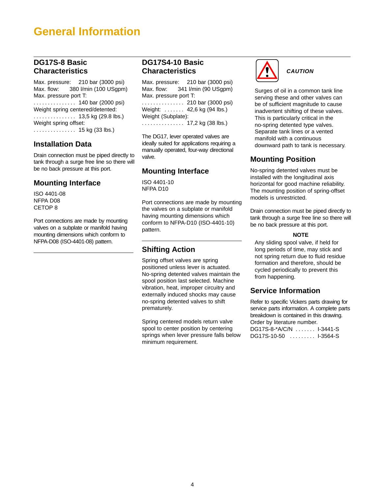## **General Information**

### **DG17S-8 Basic Characteristics**

Max. pressure: 210 bar (3000 psi) Max. flow: 380 l/min (100 USgpm) Max. pressure port T: . . . . . . . . . . . . . . . 140 bar (2000 psi) Weight spring centered/detented: . . . . . . . . . . . . . . . 13,5 kg (29.8 lbs.) Weight spring offset: . . . . . . . . . . . . . . . . 15 kg (33 lbs.)

### **Installation Data**

Drain connection must be piped directly to tank through a surge free line so there will be no back pressure at this port.

### **Mounting Interface**

ISO 4401-08 NFPA D08 CETOP 8

Port connections are made by mounting valves on a subplate or manifold having mounting dimensions which conform to NFPA-D08 (ISO-4401-08) pattern.

### **DG17S4-10 Basic Characteristics**

Max. pressure: 210 bar (3000 psi) Max. flow: 341 l/min (90 USgpm) Max. pressure port T: . . . . . . . . . . . . . . . . 210 bar (3000 psi) Weight: ...... 42,6 kg (94 lbs.) Weight (Subplate):

. . . . . . . . . . . . . . . . 17,2 kg (38 lbs.)

The DG17, lever operated valves are ideally suited for applications requiring a manually operated, four-way directional valve.

### **Mounting Interface**

ISO 4401-10 NFPA D10

Port connections are made by mounting the valves on a subplate or manifold having mounting dimensions which conform to NFPA-D10 (ISO-4401-10) pattern.

### **Shifting Action**

Spring offset valves are spring positioned unless lever is actuated. No-spring detented valves maintain the spool position last selected. Machine vibration, heat, improper circuitry and externally induced shocks may cause no-spring detented valves to shift prematurely.

Spring centered models return valve spool to center position by centering springs when lever pressure falls below minimum requirement.



**CAUTION**

Surges of oil in a common tank line serving these and other valves can be of sufficient magnitude to cause inadvertent shifting of these valves. This is particularly critical in the no-spring detented type valves. Separate tank lines or a vented manifold with a continuous downward path to tank is necessary.

### **Mounting Position**

No-spring detented valves must be installed with the longitudinal axis horizontal for good machine reliability. The mounting position of spring-offset models is unrestricted.

Drain connection must be piped directly to tank through a surge free line so there will be no back pressure at this port.

### **NOTE**

Any sliding spool valve, if held for long periods of time, may stick and not spring return due to fluid residue formation and therefore, should be cycled periodically to prevent this from happening.

### **Service Information**

Refer to specific Vickers parts drawing for service parts information. A complete parts breakdown is contained in this drawing. Order by literature number. DG17S-8-\*A/C/N ....... I-3441-S DG17S-10-50 ......... 1-3564-S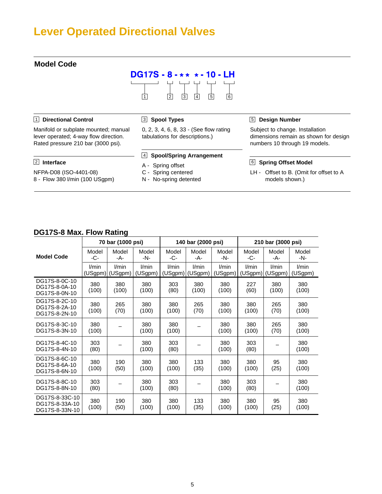# **Lever Operated Directional Valves**



### **DG17S-8 Max. Flow Rating**

|                                                    | 70 bar (1000 psi) |                  |                  | 140 bar (2000 psi) |                  |                  | 210 bar (3000 psi) |                  |                  |
|----------------------------------------------------|-------------------|------------------|------------------|--------------------|------------------|------------------|--------------------|------------------|------------------|
| <b>Model Code</b>                                  | Model<br>-C-      | Model<br>-A-     | Model<br>-N-     | Model<br>-C-       | Model<br>-A-     | Model<br>-N-     | Model<br>-C-       | Model<br>-A-     | Model<br>-N-     |
|                                                    | l/min<br>(USgpm)  | l/min<br>(USgpm) | l/min<br>(USgpm) | l/min<br>(USgpm)   | l/min<br>(USgpm) | l/min<br>(USgpm) | l/min<br>(USgpm)   | l/min<br>(USgpm) | l/min<br>(USgpm) |
| DG17S-8-0C-10<br>DG17S-8-0A-10<br>DG17S-8-0N-10    | 380<br>(100)      | 380<br>(100)     | 380<br>(100)     | 303<br>(80)        | 380<br>(100)     | 380<br>(100)     | 227<br>(60)        | 380<br>(100)     | 380<br>(100)     |
| DG17S-8-2C-10<br>DG17S-8-2A-10<br>DG17S-8-2N-10    | 380<br>(100)      | 265<br>(70)      | 380<br>(100)     | 380<br>(100)       | 265<br>(70)      | 380<br>(100)     | 380<br>(100)       | 265<br>(70)      | 380<br>(100)     |
| DG17S-8-3C-10<br>DG17S-8-3N-10                     | 380<br>(100)      |                  | 380<br>(100)     | 380<br>(100)       |                  | 380<br>(100)     | 380<br>(100)       | 265<br>(70)      | 380<br>(100)     |
| DG17S-8-4C-10<br>DG17S-8-4N-10                     | 303<br>(80)       |                  | 380<br>(100)     | 303<br>(80)        |                  | 380<br>(100)     | 303<br>(80)        |                  | 380<br>(100)     |
| DG17S-8-6C-10<br>DG17S-8-6A-10<br>DG17S-8-6N-10    | 380<br>(100)      | 190<br>(50)      | 380<br>(100)     | 380<br>(100)       | 133<br>(35)      | 380<br>(100)     | 380<br>(100)       | 95<br>(25)       | 380<br>(100)     |
| DG17S-8-8C-10<br>DG17S-8-8N-10                     | 303<br>(80)       |                  | 380<br>(100)     | 303<br>(80)        |                  | 380<br>(100)     | 303<br>(80)        |                  | 380<br>(100)     |
| DG17S-8-33C-10<br>DG17S-8-33A-10<br>DG17S-8-33N-10 | 380<br>(100)      | 190<br>(50)      | 380<br>(100)     | 380<br>(100)       | 133<br>(35)      | 380<br>(100)     | 380<br>(100)       | 95<br>(25)       | 380<br>(100)     |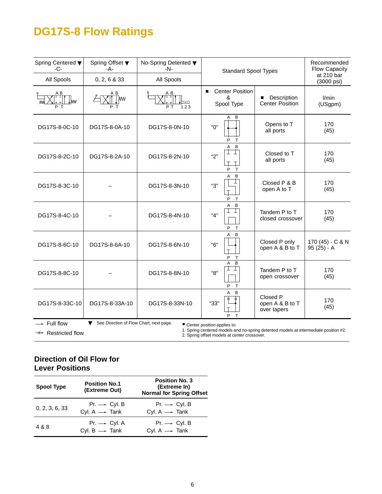# **DG17S-8 Flow Ratings**

| Spring Centered ▼<br>$-C-$ | Spring Offset ▼<br>$-A-$                                                                                                                                                                                                                               | No-Spring Detented ▼<br>$-N-$ | <b>Standard Spool Types</b>                                 |                                            | Recommended<br><b>Flow Capacity</b><br>at 210 bar |  |  |  |
|----------------------------|--------------------------------------------------------------------------------------------------------------------------------------------------------------------------------------------------------------------------------------------------------|-------------------------------|-------------------------------------------------------------|--------------------------------------------|---------------------------------------------------|--|--|--|
| All Spools                 | 0, 2, 6 & 33                                                                                                                                                                                                                                           | All Spools                    |                                                             |                                            | (3000 psi)                                        |  |  |  |
| AВ<br>lww                  | AВ<br><b>T</b>                                                                                                                                                                                                                                         | ΑB<br>123<br>ΡT               | <b>Center Position</b><br>$\blacksquare$<br>ጼ<br>Spool Type | Description<br><b>Center Position</b>      | l/min<br>(USgpm)                                  |  |  |  |
| DG17S-8-0C-10              | DG17S-8-0A-10                                                                                                                                                                                                                                          | DG17S-8-0N-10                 | A<br>B<br>"О"<br>P<br>т                                     | Opens to T<br>all ports                    | 170<br>(45)                                       |  |  |  |
| DG17S-8-2C-10              | DG17S-8-2A-10                                                                                                                                                                                                                                          | DG17S-8-2N-10                 | B<br>A<br>$\perp$<br>"2"<br>$\top$<br>P<br>$\mathsf{T}$     | Closed to T<br>all ports                   | 170<br>(45)                                       |  |  |  |
| DG17S-8-3C-10              |                                                                                                                                                                                                                                                        | DG17S-8-3N-10                 | B<br>A<br>"З"<br>P<br>$\top$                                | Closed P & B<br>open A to T                | 170<br>(45)                                       |  |  |  |
| DG17S-8-4C-10              |                                                                                                                                                                                                                                                        | DG17S-8-4N-10                 | B<br>A<br>"4"<br>P<br>$\mathsf{T}$                          | Tandem P to T<br>closed crossover          | 170<br>(45)                                       |  |  |  |
| DG17S-8-6C-10              | DG17S-8-6A-10                                                                                                                                                                                                                                          | DG17S-8-6N-10                 | A<br>B<br>"6"<br>P<br>Т                                     | Closed P only<br>open A & B to T           | 170 (45) - C & N<br>$95(25) - A$                  |  |  |  |
| DG17S-8-8C-10              |                                                                                                                                                                                                                                                        | DG17S-8-8N-10                 | $\overline{B}$<br>A<br>⊥<br>┶<br>"8"<br>P<br>$\top$         | Tandem P to T<br>open crossover            | 170<br>(45)                                       |  |  |  |
| DG17S-8-33C-10             | DG17S-8-33A-10                                                                                                                                                                                                                                         | DG17S-8-33N-10                | B<br>А<br>"33"<br>T<br>P                                    | Closed P<br>open A & B to T<br>over tapers | 170<br>(45)                                       |  |  |  |
| Full flow                  | See Direction of Flow Chart, next page.<br>▼<br>■ Center position applies to:<br>1. Spring centered models and no-spring detented models at intermediate position #2.<br>$\Rightarrow$ Restricted flow<br>2. Spring offset models at center crossover. |                               |                                                             |                                            |                                                   |  |  |  |

### **Direction of Oil Flow for Lever Positions**

| <b>Spool Type</b> | <b>Position No.1</b><br>(Extreme Out)                 | <b>Position No. 3</b><br>(Extreme In)<br><b>Normal for Spring Offset</b> |
|-------------------|-------------------------------------------------------|--------------------------------------------------------------------------|
| 0, 2, 3, 6, 33    | $Pr. \rightarrow$ Cyl. B<br>Cyl. $A \rightarrow$ Tank | $Pr. \rightarrow$ Cyl. B<br>Cyl. $A \rightarrow$ Tank                    |
| 4 & 8             | $Pr. \rightarrow$ Cyl. A<br>Cyl. $B \rightarrow$ Tank | $Pr. \longrightarrow$ Cyl. B<br>Cyl. $A \rightarrow$ Tank                |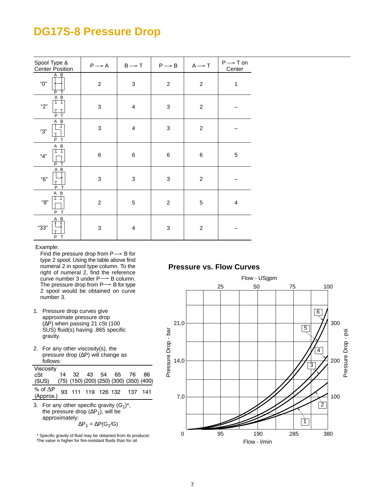### **DG17S-8 Pressure Drop**

| Spool Type &<br><b>Center Position</b> | $P \rightarrow A$ | $B \rightarrow T$         | $P \rightarrow B$         | $A \rightarrow T$ | $P \rightarrow T$ on<br>Center |
|----------------------------------------|-------------------|---------------------------|---------------------------|-------------------|--------------------------------|
| A B<br>"О"<br>P                        | $\boldsymbol{2}$  | $\ensuremath{\mathsf{3}}$ | $\overline{c}$            | $\boldsymbol{2}$  | $\mathbf 1$                    |
| A B<br>"2"<br>$\mathsf{T}$<br>P        | 3                 | $\overline{\mathbf{4}}$   | $\ensuremath{\mathsf{3}}$ | $\boldsymbol{2}$  |                                |
| A B<br>"З"<br>þ<br>T                   | 3                 | $\overline{\mathbf{4}}$   | 3                         | $\boldsymbol{2}$  |                                |
| A B<br>"4"<br>T<br>P                   | $\,6$             | $\,6$                     | $\,6$                     | $\,6$             | 5                              |
| A B<br>"6"<br>P<br>T                   | $\sqrt{3}$        | $\ensuremath{\mathsf{3}}$ | $\ensuremath{\mathsf{3}}$ | $\overline{c}$    |                                |
| A B<br>"8"<br>P<br>T                   | $\overline{c}$    | 5                         | $\overline{c}$            | 5                 | 4                              |
| A B<br>"33"<br>P<br>T                  | 3                 | $\overline{\mathbf{4}}$   | $\ensuremath{\mathsf{3}}$ | $\overline{c}$    |                                |

Example:

Find the pressure drop from  $P \rightarrow$  B for type 2 spool. Using the table above find numeral 2 in spool type column. To the right of numeral 2, find the reference curve number 3 under  $P \rightarrow B$  column. The pressure drop from  $P \rightarrow B$  for type 2 spool would be obtained on curve number 3.

- 1. Pressure drop curves give approximate pressure drop (∆P) when passing 21 cSt (100 SUS) fluid(s) having .865 specific gravity.
- 2. For any other viscosity(s), the pressure drop (∆P) will change as follows:

| Viscosity                                            |  |  |                      |  |
|------------------------------------------------------|--|--|----------------------|--|
| cSt                                                  |  |  | 14 32 43 54 65 76 86 |  |
| (SUS) (75) (150) (200) (250) (300) (350) (400)       |  |  |                      |  |
| % of $\Delta P$ 93 111 119 126 132 137 141 (Approx.) |  |  |                      |  |
|                                                      |  |  |                      |  |

3. For any other specific gravity  $(G_1)^*$ , the pressure drop ( $\Delta P_1$ ), will be approximately:  $\Delta P_1 = \Delta P(G_1/G)$ 

\* Specific gravity of fluid may be obtained from its producer. The value is higher for fire-resistant fluids than for oil.

### **Pressure vs. Flow Curves**

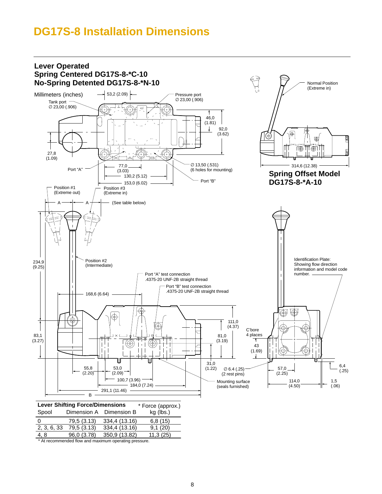## **DG17S-8 Installation Dimensions**



4, 8 96,0 (3.78) 350,9 (13.82) 11,3 (25)

\* At recommended flow and maximum operating pressure.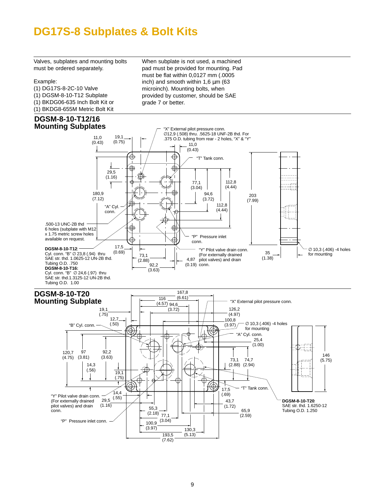# **DG17S-8 Subplates & Bolt Kits**

Valves, subplates and mounting bolts must be ordered separately.

#### Example:

- (1) DG17S-8-2C-10 Valve (1) DGSM-8-10-T12 Subplate (1) BKDG06-635 Inch Bolt Kit or (1) BKDG8-655M Metric Bolt Kit
- **DGSM-8-10-T12/16**

When subplate is not used, a machined pad must be provided for mounting. Pad must be flat within 0,0127 mm (.0005 inch) and smooth within 1,6  $\mu$ m (63 microinch). Mounting bolts, when provided by customer, should be SAE grade 7 or better.

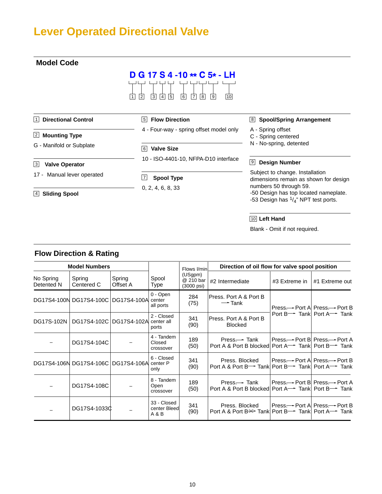# **Lever Operated Directional Valve**



10 **Left Hand**

Blank - Omit if not required.

|  | <b>Flow Direction &amp; Rating</b> |  |  |
|--|------------------------------------|--|--|
|--|------------------------------------|--|--|

| <b>Model Numbers</b>    |                                        |                    | Flows I/min                          | Direction of oil flow for valve spool position |                                                                                                            |                                   |                                                         |
|-------------------------|----------------------------------------|--------------------|--------------------------------------|------------------------------------------------|------------------------------------------------------------------------------------------------------------|-----------------------------------|---------------------------------------------------------|
| No Spring<br>Detented N | Spring<br>Centered C                   | Spring<br>Offset A | Spool<br>Type                        | (USgpm)<br>@ 210 bar<br>$(3000 \text{ psi})$   | #2 Intermediate                                                                                            | #3 Extreme in                     | #1 Extreme out                                          |
|                         | DG17S4-100N DG17S4-100C   DG17S4-100A  |                    | 0 - Open<br>center<br>all ports      | 284<br>(75)                                    | Press. Port A & Port B<br>$\rightarrow$ Tank                                                               |                                   | Press --- Port A Press --- Port B                       |
|                         | DG17S-102N   DG17S4-102C   DG17S4-102A |                    | 2 - Closed<br>center all<br>ports    | 341<br>(90)                                    | Press. Port A & Port B<br><b>Blocked</b>                                                                   |                                   | Port B <sup>---</sup> Tankl Port A <sup>----</sup> Tank |
|                         | DG17S4-104C                            |                    | 4 - Tandem<br>Closed<br>crossover    | 189<br>(50)                                    | Press.—► Tank<br>Port A & Port B blocked Port A <sup>→→</sup> Tank Port B→→ Tank                           | Press - > Port B Press - → Port A |                                                         |
|                         | DG17S4-106N DG17S4-106C DG17S4-106A    |                    | 6 - Closed<br>center P<br>only       | 341<br>(90)                                    | Press. Blocked<br>Port A & Port B- Tank Port B- Tank Port A- Tank                                          | l Press.— Port Al Press.— Port B  |                                                         |
|                         | DG17S4-108C                            |                    | 8 - Tandem<br>Open<br>crossover      | 189<br>(50)                                    | $Press \rightarrow$ Tank<br>Port A & Port B blocked Port A <sup>---</sup> Tank Port B <sup>----</sup> Tank | Press.— Port B  Press.— Port A    |                                                         |
|                         | DG17S4-10330                           |                    | 33 - Closed<br>center Bleed<br>A & B | 341<br>(90)                                    | Press. Blocked<br>Port A & Port B <sup>—→</sup> Tank Port B <sup>—→</sup> Tank Port A <sup>—→</sup> Tank   | Press— Port A Press— Port B       |                                                         |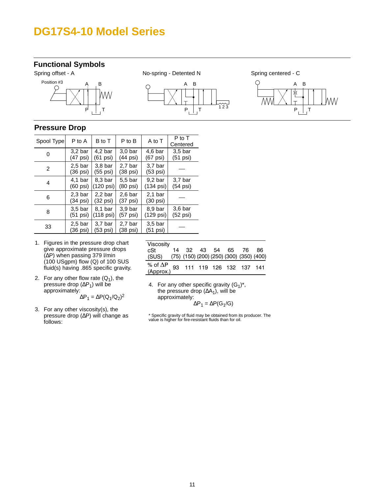### **DG17S4-10 Model Series**

### **Functional Symbols**









### **Pressure Drop**

| Spool Type | P to A                                   | B to T                          | P to B                                   | A to T                                   | P to T<br>Centered                       |
|------------|------------------------------------------|---------------------------------|------------------------------------------|------------------------------------------|------------------------------------------|
| 0          | $3,2$ bar<br>(47 psi)                    | 4.2 <sub>bar</sub><br>(61 psi)  | 3.0 <sub>bar</sub><br>$(44 \text{ psi})$ | 4.6 <sub>bar</sub><br>(67 psi)           | 3.5 <sub>bar</sub><br>$(51 \text{ psi})$ |
| 2          | 2.5 <sub>bar</sub><br>(36 psi)           | 3.8 <sub>bar</sub><br>(55 psi)  | 2.7 <sub>bar</sub><br>(38 psi)           | 3.7 <sub>bar</sub><br>$(53 \text{ psi})$ |                                          |
| 4          | 4.1 <sub>bar</sub><br>$(60 \text{ psi})$ | 8.3 <sub>bar</sub><br>(120 psi) | 5.5 bar<br>(80 psi)                      | 9.2 <sub>bar</sub><br>(134 psi)          | 3.7 <sub>bar</sub><br>$(54$ psi)         |
| 6          | 2.3 <sub>bar</sub><br>(34 psi)           | 2.2 <sub>bar</sub><br>(32 psi)  | $2,6$ bar<br>(37 psi)                    | 2.1 <sub>bar</sub><br>$(30 \text{ psi})$ |                                          |
| 8          | 3.5 <sub>bar</sub><br>(51 psi)           | 8.1 bar<br>(118 psi)            | 3.9 <sub>bar</sub><br>$(57 \text{ psi})$ | 8.9 <sub>bar</sub><br>(129 psi)          | 3.6 <sub>bar</sub><br>$(52 \text{ psi})$ |
| 33         | 2.5 <sub>bar</sub><br>(36 psi)           | 3.7 <sub>bar</sub><br>(53 psi)  | 2.7 <sub>bar</sub><br>(38 psi)           | 3.5 <sub>bar</sub><br>(51 psi)           |                                          |

- 1. Figures in the pressure drop chart give approximate pressure drops (∆P) when passing 379 l/min (100 USgpm) flow (Q) of 100 SUS fluid(s) having .865 specific gravity.
- 2. For any other flow rate  $(Q_1)$ , the pressure drop ( $\Delta P_1$ ) will be approximately:  $\Delta P_1 = \Delta P(Q_1/Q_2)^2$
- 3. For any other viscosity(s), the pressure drop (∆P) will change as follows:

| Viscosity                                            |  |  |                      |  |
|------------------------------------------------------|--|--|----------------------|--|
| cSt                                                  |  |  | 14 32 43 54 65 76 86 |  |
| (SUS) (75) (150) (200) (250) (300) (350) (400)       |  |  |                      |  |
| % of $\Delta P$ 93 111 119 126 132 137 141 (Approx.) |  |  |                      |  |

4. For any other specific gravity  $(G_1)^*$ , the pressure drop  $(∆A<sub>1</sub>)$ , will be approximately:

$$
\Delta P_1 = \Delta P(G_1/G)
$$

\* Specific gravity of fluid may be obtained from its producer. The value is higher for fire-resistant fluids than for oil.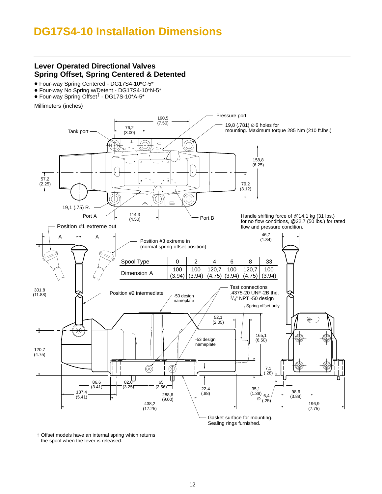# **DG17S4-10 Installation Dimensions**

### **Lever Operated Directional Valves Spring Offset, Spring Centered & Detented**

- Four-way Spring Centered DG17S4-10\*C-5\*
- Four-way No Spring w/Detent DG17S4-10\*N-5\*
- Four-way Spring Offset<sup>†</sup> DG17S-10\*A-5\*

Millimeters (inches)



Sealing rings furnished.

 Offset models have an internal spring which returns the spool when the lever is released.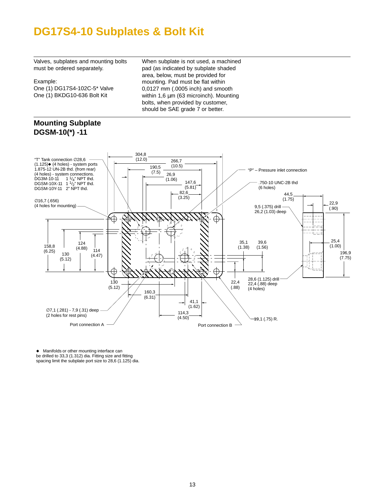## **DG17S4-10 Subplates & Bolt Kit**

Valves, subplates and mounting bolts must be ordered separately.

#### Example:

One (1) DG17S4-102C-5\* Valve One (1) BKDG10-636 Bolt Kit

When subplate is not used, a machined pad (as indicated by subplate shaded area, below, must be provided for mounting. Pad must be flat within 0,0127 mm (.0005 inch) and smooth within 1,6 μm (63 microinch). Mounting bolts, when provided by customer, should be SAE grade 7 or better.

### **Mounting Subplate DGSM-10(\*) -11**



 Manifolds or other mounting interface can be drilled to 33,3 (1.312) dia. Fitting size and fitting spacing limit the subplate port size to 28,6 (1.125) dia.